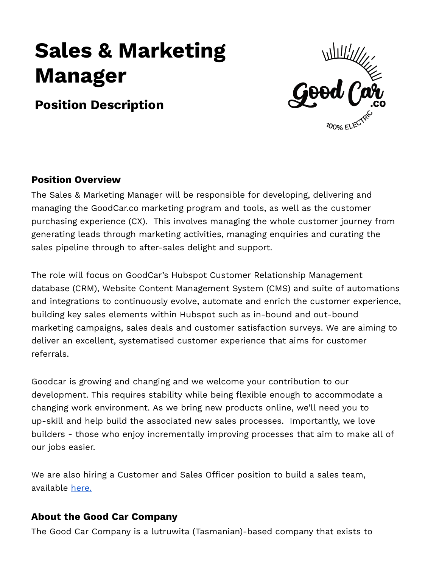# **Sales & Marketing Manager**

## **Position Description**



## **Position Overview**

The Sales & Marketing Manager will be responsible for developing, delivering and managing the GoodCar.co marketing program and tools, as well as the customer purchasing experience (CX). This involves managing the whole customer journey from generating leads through marketing activities, managing enquiries and curating the sales pipeline through to after-sales delight and support.

The role will focus on GoodCar's Hubspot Customer Relationship Management database (CRM), Website Content Management System (CMS) and suite of automations and integrations to continuously evolve, automate and enrich the customer experience, building key sales elements within Hubspot such as in-bound and out-bound marketing campaigns, sales deals and customer satisfaction surveys. We are aiming to deliver an excellent, systematised customer experience that aims for customer referrals.

Goodcar is growing and changing and we welcome your contribution to our development. This requires stability while being flexible enough to accommodate a changing work environment. As we bring new products online, we'll need you to up-skill and help build the associated new sales processes. Importantly, we love builders - those who enjoy incrementally improving processes that aim to make all of our jobs easier.

We are also hiring a Customer and Sales Officer position to build a sales team, available [here.](https://www.goodcar.co/careers)

## **About the Good Car Company**

The Good Car Company is a lutruwita (Tasmanian)-based company that exists to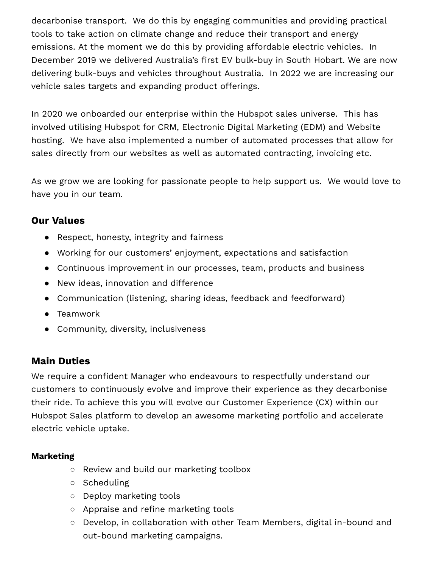decarbonise transport. We do this by engaging communities and providing practical tools to take action on climate change and reduce their transport and energy emissions. At the moment we do this by providing affordable electric vehicles. In December 2019 we delivered Australia's first EV bulk-buy in South Hobart. We are now delivering bulk-buys and vehicles throughout Australia. In 2022 we are increasing our vehicle sales targets and expanding product offerings.

In 2020 we onboarded our enterprise within the Hubspot sales universe. This has involved utilising Hubspot for CRM, Electronic Digital Marketing (EDM) and Website hosting. We have also implemented a number of automated processes that allow for sales directly from our websites as well as automated contracting, invoicing etc.

As we grow we are looking for passionate people to help support us. We would love to have you in our team.

## **Our Values**

- Respect, honesty, integrity and fairness
- Working for our customers' enjoyment, expectations and satisfaction
- Continuous improvement in our processes, team, products and business
- New ideas, innovation and difference
- Communication (listening, sharing ideas, feedback and feedforward)
- Teamwork
- Community, diversity, inclusiveness

## **Main Duties**

We require a confident Manager who endeavours to respectfully understand our customers to continuously evolve and improve their experience as they decarbonise their ride. To achieve this you will evolve our Customer Experience (CX) within our Hubspot Sales platform to develop an awesome marketing portfolio and accelerate electric vehicle uptake.

#### **Marketing**

- Review and build our marketing toolbox
- Scheduling
- Deploy marketing tools
- Appraise and refine marketing tools
- Develop, in collaboration with other Team Members, digital in-bound and out-bound marketing campaigns.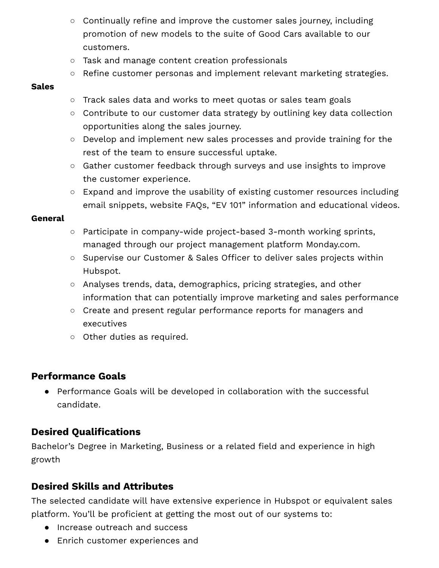- Continually refine and improve the customer sales journey, including promotion of new models to the suite of Good Cars available to our customers.
- Task and manage content creation professionals
- Refine customer personas and implement relevant marketing strategies.

#### **Sales**

- Track sales data and works to meet quotas or sales team goals
- Contribute to our customer data strategy by outlining key data collection opportunities along the sales journey.
- Develop and implement new sales processes and provide training for the rest of the team to ensure successful uptake.
- Gather customer feedback through surveys and use insights to improve the customer experience.
- Expand and improve the usability of existing customer resources including email snippets, website FAQs, "EV 101" information and educational videos.

#### **General**

- Participate in company-wide project-based 3-month working sprints, managed through our project management platform Monday.com.
- Supervise our Customer & Sales Officer to deliver sales projects within Hubspot.
- Analyses trends, data, demographics, pricing strategies, and other information that can potentially improve marketing and sales performance
- Create and present regular performance reports for managers and executives
- Other duties as required.

### **Performance Goals**

● Performance Goals will be developed in collaboration with the successful candidate.

## **Desired Qualifications**

Bachelor's Degree in Marketing, Business or a related field and experience in high growth

## **Desired Skills and Attributes**

The selected candidate will have extensive experience in Hubspot or equivalent sales platform. You'll be proficient at getting the most out of our systems to:

- Increase outreach and success
- Enrich customer experiences and